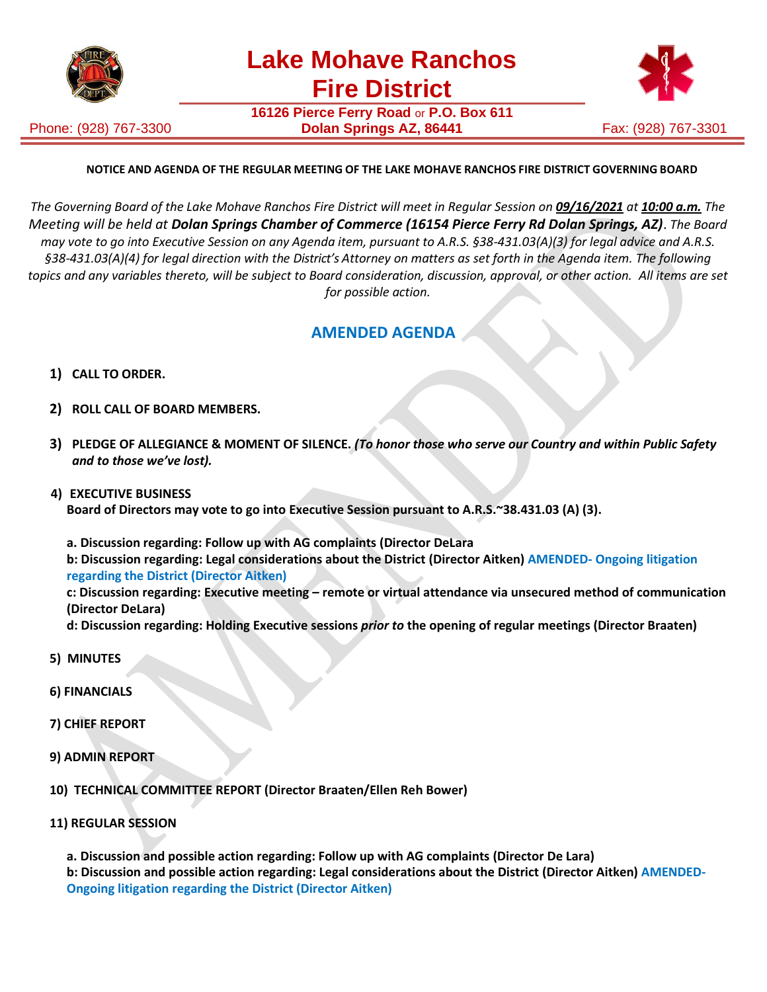

Phone: (928) 767-3300

**16126 Pierce Ferry Road** or **P.O. Box 611 Dolan Springs AZ, 86441 Fax: (928) 767-3301** 



## **NOTICE AND AGENDA OF THE REGULAR MEETING OF THE LAKE MOHAVE RANCHOS FIRE DISTRICT GOVERNING BOARD**

The Governing Board of the Lake Mohave Ranchos Fire District will meet in Regular Session on 09/16/2021 at 10:00 a.m. The *Meeting will be held at Dolan Springs Chamber of Commerce (16154 Pierce Ferry Rd Dolan Springs, AZ)*. *The Board may vote to go into Executive Session on any Agenda item, pursuant to A.R.S. §38-431.03(A)(3) for legal advice and A.R.S. §38-431.03(A)(4) for legal direction with the District's Attorney on matters as set forth in the Agenda item. The following topics and any variables thereto, will be subject to Board consideration, discussion, approval, or other action. All items are set for possible action.*

## **AMENDED AGENDA**

- **1) CALL TO ORDER.**
- **2) ROLL CALL OF BOARD MEMBERS.**
- **3) PLEDGE OF ALLEGIANCE & MOMENT OF SILENCE.** *(To honor those who serve our Country and within Public Safety and to those we've lost).*
- **4) EXECUTIVE BUSINESS**

**Board of Directors may vote to go into Executive Session pursuant to A.R.S.~38.431.03 (A) (3).**

**a. Discussion regarding: Follow up with AG complaints (Director DeLara**

**b: Discussion regarding: Legal considerations about the District (Director Aitken) AMENDED- Ongoing litigation regarding the District (Director Aitken)**

**c: Discussion regarding: Executive meeting – remote or virtual attendance via unsecured method of communication (Director DeLara)**

**d: Discussion regarding: Holding Executive sessions** *prior to* **the opening of regular meetings (Director Braaten)**

- **5) MINUTES**
- **6) FINANCIALS**
- **7) CHIEF REPORT**
- **9) ADMIN REPORT**

 **10) TECHNICAL COMMITTEE REPORT (Director Braaten/Ellen Reh Bower)**

 **11) REGULAR SESSION**

**a. Discussion and possible action regarding: Follow up with AG complaints (Director De Lara)**

**b: Discussion and possible action regarding: Legal considerations about the District (Director Aitken) AMENDED-Ongoing litigation regarding the District (Director Aitken)**